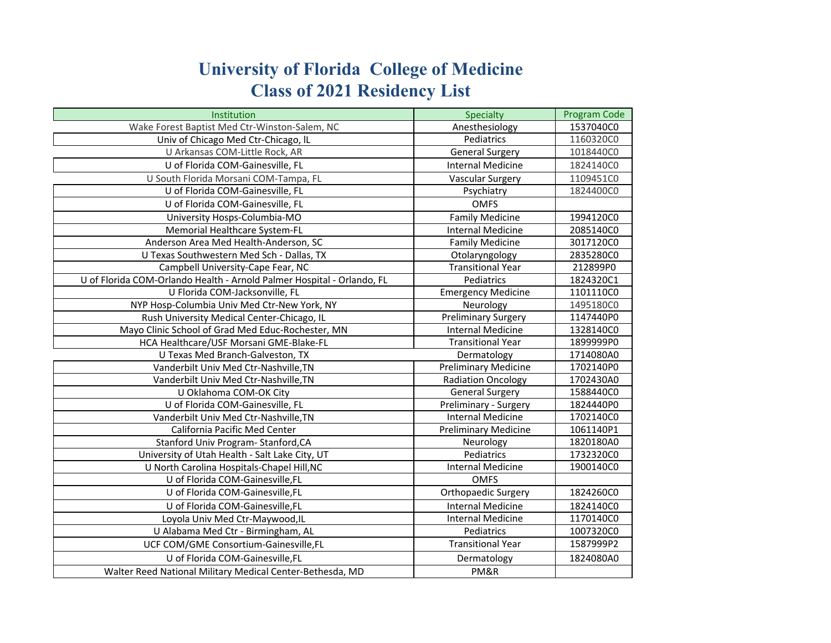## **University of Florida College of Medicine Class of 2021 Residency List**

| Institution                                                            | Specialty                   | <b>Program Code</b> |
|------------------------------------------------------------------------|-----------------------------|---------------------|
| Wake Forest Baptist Med Ctr-Winston-Salem, NC                          | Anesthesiology              | 1537040C0           |
| Univ of Chicago Med Ctr-Chicago, IL                                    | Pediatrics                  | 1160320C0           |
| U Arkansas COM-Little Rock, AR                                         | <b>General Surgery</b>      | 1018440C0           |
| U of Florida COM-Gainesville, FL                                       | <b>Internal Medicine</b>    | 1824140C0           |
| U South Florida Morsani COM-Tampa, FL                                  | Vascular Surgery            | 1109451C0           |
| U of Florida COM-Gainesville, FL                                       | Psychiatry                  | 1824400C0           |
| U of Florida COM-Gainesville, FL                                       | <b>OMFS</b>                 |                     |
| University Hosps-Columbia-MO                                           | <b>Family Medicine</b>      | 1994120C0           |
| Memorial Healthcare System-FL                                          | <b>Internal Medicine</b>    | 2085140C0           |
| Anderson Area Med Health-Anderson, SC                                  | <b>Family Medicine</b>      | 3017120C0           |
| U Texas Southwestern Med Sch - Dallas, TX                              | Otolaryngology              | 2835280C0           |
| Campbell University-Cape Fear, NC                                      | <b>Transitional Year</b>    | 212899P0            |
| U of Florida COM-Orlando Health - Arnold Palmer Hospital - Orlando, FL | Pediatrics                  | 1824320C1           |
| U Florida COM-Jacksonville, FL                                         | <b>Emergency Medicine</b>   | 1101110C0           |
| NYP Hosp-Columbia Univ Med Ctr-New York, NY                            | Neurology                   | 1495180C0           |
| Rush University Medical Center-Chicago, IL                             | <b>Preliminary Surgery</b>  | 1147440P0           |
| Mayo Clinic School of Grad Med Educ-Rochester, MN                      | <b>Internal Medicine</b>    | 1328140C0           |
| HCA Healthcare/USF Morsani GME-Blake-FL                                | <b>Transitional Year</b>    | 1899999P0           |
| U Texas Med Branch-Galveston, TX                                       | Dermatology                 | 1714080A0           |
| Vanderbilt Univ Med Ctr-Nashville, TN                                  | <b>Preliminary Medicine</b> | 1702140P0           |
| Vanderbilt Univ Med Ctr-Nashville, TN                                  | <b>Radiation Oncology</b>   | 1702430A0           |
| U Oklahoma COM-OK City                                                 | <b>General Surgery</b>      | 1588440C0           |
| U of Florida COM-Gainesville, FL                                       | Preliminary - Surgery       | 1824440P0           |
| Vanderbilt Univ Med Ctr-Nashville, TN                                  | Internal Medicine           | 1702140C0           |
| California Pacific Med Center                                          | <b>Preliminary Medicine</b> | 1061140P1           |
| Stanford Univ Program- Stanford, CA                                    | Neurology                   | 1820180A0           |
| University of Utah Health - Salt Lake City, UT                         | Pediatrics                  | 1732320C0           |
| U North Carolina Hospitals-Chapel Hill, NC                             | <b>Internal Medicine</b>    | 1900140C0           |
| U of Florida COM-Gainesville,FL                                        | <b>OMFS</b>                 |                     |
| U of Florida COM-Gainesville, FL                                       | Orthopaedic Surgery         | 1824260C0           |
| U of Florida COM-Gainesville,FL                                        | <b>Internal Medicine</b>    | 1824140C0           |
| Loyola Univ Med Ctr-Maywood, IL                                        | <b>Internal Medicine</b>    | 1170140C0           |
| U Alabama Med Ctr - Birmingham, AL                                     | Pediatrics                  | 1007320C0           |
| UCF COM/GME Consortium-Gainesville,FL                                  | <b>Transitional Year</b>    | 1587999P2           |
| U of Florida COM-Gainesville,FL                                        | Dermatology                 | 1824080A0           |
| Walter Reed National Military Medical Center-Bethesda, MD              | PM&R                        |                     |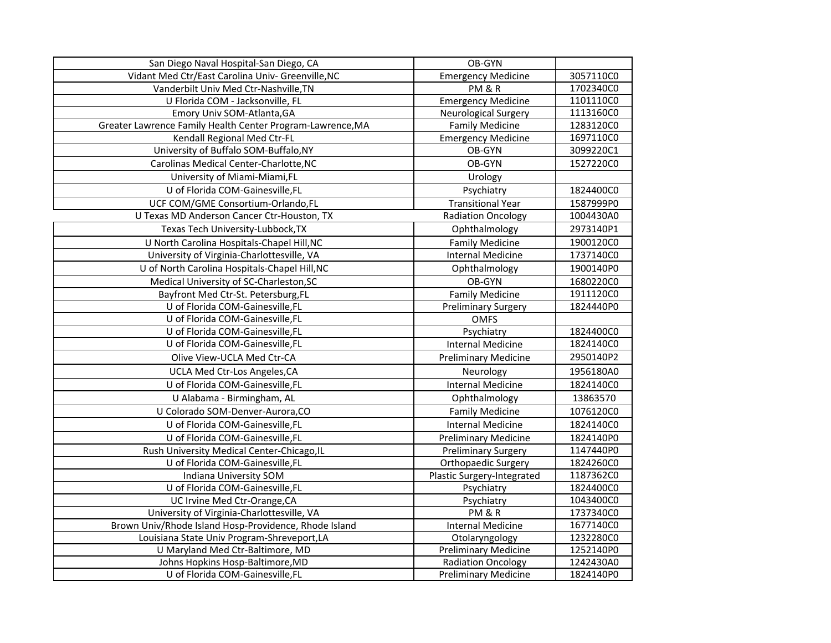| San Diego Naval Hospital-San Diego, CA                     | OB-GYN                      |           |
|------------------------------------------------------------|-----------------------------|-----------|
| Vidant Med Ctr/East Carolina Univ- Greenville, NC          | <b>Emergency Medicine</b>   | 3057110C0 |
| Vanderbilt Univ Med Ctr-Nashville, TN                      | PM&R                        | 1702340C0 |
| U Florida COM - Jacksonville, FL                           | <b>Emergency Medicine</b>   | 1101110C0 |
| Emory Univ SOM-Atlanta, GA                                 | Neurological Surgery        | 1113160C0 |
| Greater Lawrence Family Health Center Program-Lawrence, MA | <b>Family Medicine</b>      | 1283120C0 |
| Kendall Regional Med Ctr-FL                                | <b>Emergency Medicine</b>   | 1697110C0 |
| University of Buffalo SOM-Buffalo, NY                      | OB-GYN                      | 3099220C1 |
| Carolinas Medical Center-Charlotte, NC                     | OB-GYN                      | 1527220C0 |
| University of Miami-Miami, FL                              | Urology                     |           |
| U of Florida COM-Gainesville, FL                           | Psychiatry                  | 1824400C0 |
| UCF COM/GME Consortium-Orlando,FL                          | <b>Transitional Year</b>    | 1587999P0 |
| U Texas MD Anderson Cancer Ctr-Houston, TX                 | <b>Radiation Oncology</b>   | 1004430A0 |
| Texas Tech University-Lubbock, TX                          | Ophthalmology               | 2973140P1 |
| U North Carolina Hospitals-Chapel Hill, NC                 | <b>Family Medicine</b>      | 1900120C0 |
| University of Virginia-Charlottesville, VA                 | <b>Internal Medicine</b>    | 1737140C0 |
| U of North Carolina Hospitals-Chapel Hill, NC              | Ophthalmology               | 1900140P0 |
| Medical University of SC-Charleston, SC                    | OB-GYN                      | 1680220C0 |
| Bayfront Med Ctr-St. Petersburg,FL                         | <b>Family Medicine</b>      | 1911120C0 |
| U of Florida COM-Gainesville,FL                            | <b>Preliminary Surgery</b>  | 1824440P0 |
| U of Florida COM-Gainesville,FL                            | <b>OMFS</b>                 |           |
| U of Florida COM-Gainesville,FL                            | Psychiatry                  | 1824400C0 |
| U of Florida COM-Gainesville, FL                           | <b>Internal Medicine</b>    | 1824140C0 |
| Olive View-UCLA Med Ctr-CA                                 | <b>Preliminary Medicine</b> | 2950140P2 |
| UCLA Med Ctr-Los Angeles, CA                               | Neurology                   | 1956180A0 |
| U of Florida COM-Gainesville,FL                            | <b>Internal Medicine</b>    | 1824140C0 |
| U Alabama - Birmingham, AL                                 | Ophthalmology               | 13863570  |
| U Colorado SOM-Denver-Aurora, CO                           | <b>Family Medicine</b>      | 1076120C0 |
| U of Florida COM-Gainesville, FL                           | <b>Internal Medicine</b>    | 1824140C0 |
| U of Florida COM-Gainesville,FL                            | <b>Preliminary Medicine</b> | 1824140P0 |
| Rush University Medical Center-Chicago, IL                 | Preliminary Surgery         | 1147440P0 |
| U of Florida COM-Gainesville,FL                            | Orthopaedic Surgery         | 1824260C0 |
| Indiana University SOM                                     | Plastic Surgery-Integrated  | 1187362C0 |
| U of Florida COM-Gainesville, FL                           | Psychiatry                  | 1824400C0 |
| UC Irvine Med Ctr-Orange, CA                               | Psychiatry                  | 1043400C0 |
| University of Virginia-Charlottesville, VA                 | PM&R                        | 1737340C0 |
| Brown Univ/Rhode Island Hosp-Providence, Rhode Island      | <b>Internal Medicine</b>    | 1677140C0 |
| Louisiana State Univ Program-Shreveport, LA                | Otolaryngology              | 1232280C0 |
| U Maryland Med Ctr-Baltimore, MD                           | <b>Preliminary Medicine</b> | 1252140P0 |
| Johns Hopkins Hosp-Baltimore, MD                           | <b>Radiation Oncology</b>   | 1242430A0 |
| U of Florida COM-Gainesville, FL                           | <b>Preliminary Medicine</b> | 1824140P0 |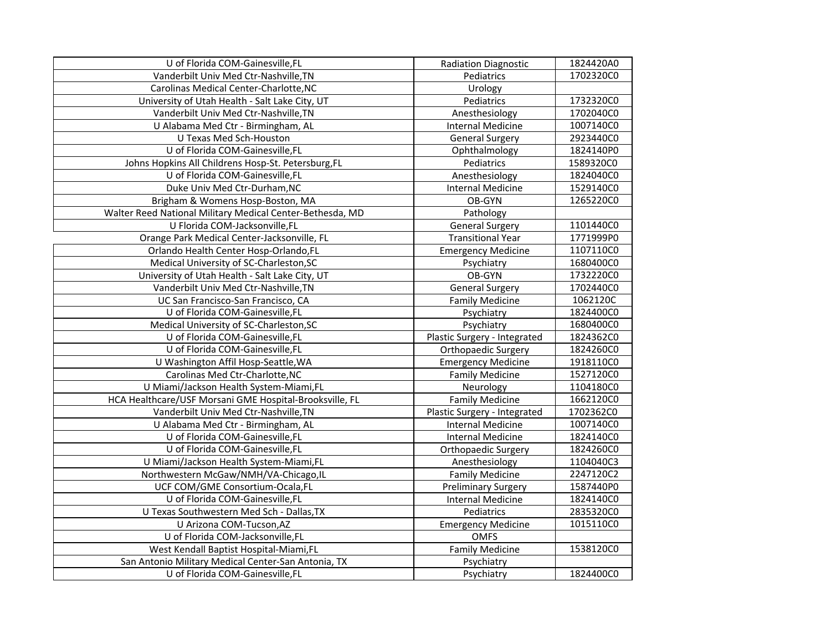| U of Florida COM-Gainesville, FL                          | <b>Radiation Diagnostic</b>  | 1824420A0 |
|-----------------------------------------------------------|------------------------------|-----------|
| Vanderbilt Univ Med Ctr-Nashville, TN                     | Pediatrics                   | 1702320C0 |
| Carolinas Medical Center-Charlotte, NC                    | Urology                      |           |
| University of Utah Health - Salt Lake City, UT            | Pediatrics                   | 1732320C0 |
| Vanderbilt Univ Med Ctr-Nashville, TN                     | Anesthesiology               | 1702040C0 |
| U Alabama Med Ctr - Birmingham, AL                        | <b>Internal Medicine</b>     | 1007140C0 |
| U Texas Med Sch-Houston                                   | <b>General Surgery</b>       | 2923440C0 |
| U of Florida COM-Gainesville, FL                          | Ophthalmology                | 1824140P0 |
| Johns Hopkins All Childrens Hosp-St. Petersburg, FL       | Pediatrics                   | 1589320C0 |
| U of Florida COM-Gainesville, FL                          | Anesthesiology               | 1824040C0 |
| Duke Univ Med Ctr-Durham, NC                              | <b>Internal Medicine</b>     | 1529140C0 |
| Brigham & Womens Hosp-Boston, MA                          | OB-GYN                       | 1265220C0 |
| Walter Reed National Military Medical Center-Bethesda, MD | Pathology                    |           |
| U Florida COM-Jacksonville,FL                             | <b>General Surgery</b>       | 1101440C0 |
| Orange Park Medical Center-Jacksonville, FL               | <b>Transitional Year</b>     | 1771999P0 |
| Orlando Health Center Hosp-Orlando, FL                    | <b>Emergency Medicine</b>    | 1107110C0 |
| Medical University of SC-Charleston, SC                   | Psychiatry                   | 1680400C0 |
| University of Utah Health - Salt Lake City, UT            | OB-GYN                       | 1732220C0 |
| Vanderbilt Univ Med Ctr-Nashville, TN                     | <b>General Surgery</b>       | 1702440C0 |
| UC San Francisco-San Francisco, CA                        | <b>Family Medicine</b>       | 1062120C  |
| U of Florida COM-Gainesville, FL                          | Psychiatry                   | 1824400C0 |
| Medical University of SC-Charleston, SC                   | Psychiatry                   | 1680400C0 |
| U of Florida COM-Gainesville, FL                          | Plastic Surgery - Integrated | 1824362C0 |
| U of Florida COM-Gainesville,FL                           | Orthopaedic Surgery          | 1824260C0 |
| U Washington Affil Hosp-Seattle, WA                       | <b>Emergency Medicine</b>    | 1918110C0 |
| Carolinas Med Ctr-Charlotte, NC                           | <b>Family Medicine</b>       | 1527120C0 |
| U Miami/Jackson Health System-Miami,FL                    | Neurology                    | 1104180C0 |
| HCA Healthcare/USF Morsani GME Hospital-Brooksville, FL   | <b>Family Medicine</b>       | 1662120C0 |
| Vanderbilt Univ Med Ctr-Nashville, TN                     | Plastic Surgery - Integrated | 1702362C0 |
| U Alabama Med Ctr - Birmingham, AL                        | <b>Internal Medicine</b>     | 1007140C0 |
| U of Florida COM-Gainesville, FL                          | <b>Internal Medicine</b>     | 1824140C0 |
| U of Florida COM-Gainesville, FL                          | Orthopaedic Surgery          | 1824260C0 |
| U Miami/Jackson Health System-Miami,FL                    | Anesthesiology               | 1104040C3 |
| Northwestern McGaw/NMH/VA-Chicago,IL                      | <b>Family Medicine</b>       | 2247120C2 |
| UCF COM/GME Consortium-Ocala,FL                           | <b>Preliminary Surgery</b>   | 1587440P0 |
| U of Florida COM-Gainesville, FL                          | <b>Internal Medicine</b>     | 1824140C0 |
| U Texas Southwestern Med Sch - Dallas, TX                 | Pediatrics                   | 2835320C0 |
| U Arizona COM-Tucson, AZ                                  | <b>Emergency Medicine</b>    | 1015110C0 |
| U of Florida COM-Jacksonville,FL                          | <b>OMFS</b>                  |           |
| West Kendall Baptist Hospital-Miami,FL                    | <b>Family Medicine</b>       | 1538120C0 |
| San Antonio Military Medical Center-San Antonia, TX       | Psychiatry                   |           |
| U of Florida COM-Gainesville,FL                           | Psychiatry                   | 1824400C0 |